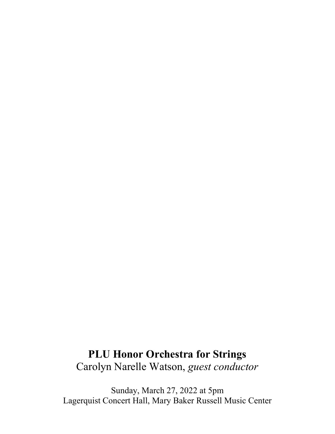# **PLU Honor Orchestra for Strings** Carolyn Narelle Watson, *guest conductor*

Sunday, March 27, 2022 at 5pm Lagerquist Concert Hall, Mary Baker Russell Music Center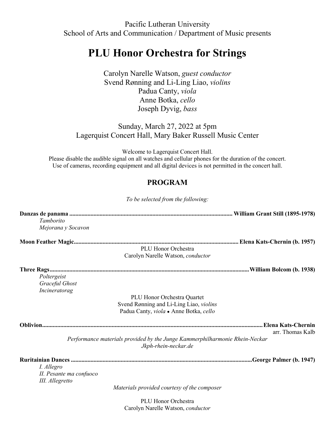Pacific Lutheran University School of Arts and Communication / Department of Music presents

# **PLU Honor Orchestra for Strings**

Carolyn Narelle Watson, *guest conductor* Svend Rønning and Li-Ling Liao, *violins* Padua Canty, *viola* Anne Botka, *cello* Joseph Dyvig, *bass*

## Sunday, March 27, 2022 at 5pm Lagerquist Concert Hall, Mary Baker Russell Music Center

Welcome to Lagerquist Concert Hall. Please disable the audible signal on all watches and cellular phones for the duration of the concert. Use of cameras, recording equipment and all digital devices is not permitted in the concert hall.

## **PROGRAM**

*To be selected from the following:*

| Tamborito               |                                                                                                     |                  |
|-------------------------|-----------------------------------------------------------------------------------------------------|------------------|
| Mejorana y Socavon      |                                                                                                     |                  |
|                         |                                                                                                     |                  |
|                         | PLU Honor Orchestra                                                                                 |                  |
|                         | Carolyn Narelle Watson, conductor                                                                   |                  |
|                         |                                                                                                     |                  |
| Poltergeist             |                                                                                                     |                  |
| Graceful Ghost          |                                                                                                     |                  |
| Incineratorag           |                                                                                                     |                  |
|                         | PLU Honor Orchestra Quartet                                                                         |                  |
|                         | Svend Rønning and Li-Ling Liao, violins                                                             |                  |
|                         | Padua Canty, viola • Anne Botka, cello                                                              |                  |
|                         |                                                                                                     |                  |
|                         |                                                                                                     | arr. Thomas Kalb |
|                         | Performance materials provided by the Junge Kammerphilharmonie Rhein-Neckar<br>Jkph-rhein-neckar.de |                  |
|                         |                                                                                                     |                  |
| I. Allegro              |                                                                                                     |                  |
| II. Pesante ma confuoco |                                                                                                     |                  |
| III. Allegretto         |                                                                                                     |                  |
|                         | Materials provided courtesy of the composer                                                         |                  |
|                         | P                                                                                                   |                  |

PLU Honor Orchestra Carolyn Narelle Watson, *conductor*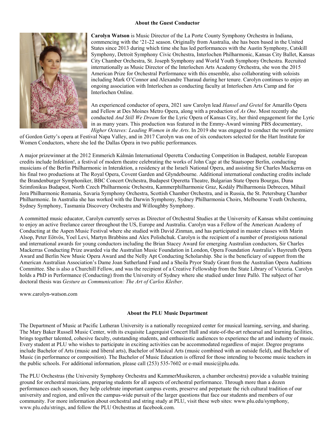#### **About the Guest Conductor**



**Carolyn Watson** is Music Director of the La Porte County Symphony Orchestra in Indiana, commencing with the '21-22 season. Originally from Australia, she has been based in the United States since 2013 during which time she has led performances with the Austin Symphony, Catskill Symphony, Detroit Symphony Civic Orchestra, Interlochen Philharmonic, Kansas City Ballet, Kansas City Chamber Orchestra, St. Joseph Symphony and World Youth Symphony Orchestra. Recruited internationally as Music Director of the Interlochen Arts Academy Orchestra, she won the 2015 American Prize for Orchestral Performance with this ensemble, also collaborating with soloists including Mark O'Connor and Alexandre Tharaud during her tenure. Carolyn continues to enjoy an ongoing association with Interlochen as conducting faculty at Interlochen Arts Camp and for Interlochen Online.

An experienced conductor of opera, 2021 saw Carolyn lead *Hansel and Gretel* for Amarillo Opera and Fellow at Des Moines Metro Opera, along with a production of *As One*. Most recently she conducted *And Still We Dream* for the Lyric Opera of Kansas City, her third engagement for the Lyric in as many years. This production was featured in the Emmy-Award winning PBS documentary, *Higher Octaves: Leading Women in the Arts*. In 2019 she was engaged to conduct the world premiere

of Gordon Getty's opera at Festival Napa Valley, and in 2017 Carolyn was one of six conductors selected for the Hart Institute for Women Conductors, where she led the Dallas Opera in two public performances.

A major prizewinner at the 2012 Emmerich Kálmán International Operetta Conducting Competition in Budapest, notable European credits include Infektion!, a festival of modern theatre celebrating the works of John Cage at the Staatsoper Berlin, conducting musicians of the Berlin Philharmonic in Interaktion, a residency at the Israeli National Opera, and assisting Sir Charles Mackerras on his final two productions at The Royal Opera, Covent Garden and Glyndebourne. Additional international conducting credits include the Brandenburger Symphoniker, BBC Concert Orchestra, Budapest Operetta Theatre, Bulgarian State Opera Bourgas, Duna Szimfonikus Budapest, North Czech Philharmonic Orchestra, Kammerphilharmonie Graz, Kodály Philharmonia Debrecen, Mihail Jora Philharmonic Romania, Savaria Symphony Orchestra, Scottish Chamber Orchestra, and in Russia, the St. Petersburg Chamber Philharmonic. In Australia she has worked with the Darwin Symphony, Sydney Philharmonia Choirs, Melbourne Youth Orchestra, Sydney Symphony, Tasmania Discovery Orchestra and Willoughby Symphony.

A committed music educator, Carolyn currently serves as Director of Orchestral Studies at the University of Kansas whilst continuing to enjoy an active freelance career throughout the US, Europe and Australia. Carolyn was a Fellow of the American Academy of Conducting at the Aspen Music Festival where she studied with David Zinman, and has participated in master classes with Marin Alsop, Peter Eötvös, Yoel Levi, Martyn Brabbins and Alex Polishchuk. Carolyn is the recipient of a number of prestigious national and international awards for young conductors including the Brian Stacey Award for emerging Australian conductors, Sir Charles Mackerras Conducting Prize awarded via the Australian Music Foundation in London, Opera Foundation Australia's Bayreuth Opera Award and Berlin New Music Opera Award and the Nelly Apt Conducting Scholarship. She is the beneficiary of support from the American Australian Association's Dame Joan Sutherland Fund and a Sheila Pryor Study Grant from the Australian Opera Auditions Committee. She is also a Churchill Fellow, and was the recipient of a Creative Fellowship from the State Library of Victoria. Carolyn holds a PhD in Performance (Conducting) from the University of Sydney where she studied under Imre Palló. The subject of her doctoral thesis was *Gesture as Communication: The Art of Carlos Kleiber*.

www.carolyn-watson.com

#### **About the PLU Music Department**

The Department of Music at Pacific Lutheran University is a nationally recognized center for musical learning, serving, and sharing. The Mary Baker Russell Music Center, with its exquisite Lagerquist Concert Hall and state-of-the-art rehearsal and learning facilities, brings together talented, cohesive faculty, outstanding students, and enthusiastic audiences to experience the art and industry of music. Every student at PLU who wishes to participate in exciting activities can be accommodated regardless of major. Degree programs include Bachelor of Arts (music and liberal arts), Bachelor of Musical Arts (music combined with an outside field), and Bachelor of Music (in performance or composition). The Bachelor of Music Education is offered for those intending to become music teachers in the public schools. For additional information, please call (253) 535-7602 or e-mail music@plu.edu.

The PLU Orchestras (the University Symphony Orchestra and KammerMusikeren, a chamber orchestra) provide a valuable training ground for orchestral musicians, preparing students for all aspects of orchestral performance. Through more than a dozen performances each season, they help celebrate important campus events, preserve and perpetuate the rich cultural tradition of our university and region, and enliven the campus-wide pursuit of the larger questions that face our students and members of our community. For more information about orchestral and string study at PLU, visit these web sites: www.plu.edu/symphony, www.plu.edu/strings, and follow the PLU Orchestras at facebook.com.